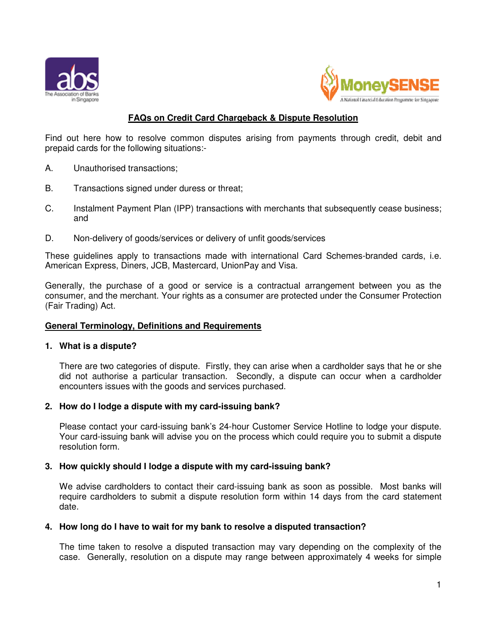



# **FAQs on Credit Card Chargeback & Dispute Resolution**

Find out here how to resolve common disputes arising from payments through credit, debit and prepaid cards for the following situations:-

- A. Unauthorised transactions;
- B. Transactions signed under duress or threat;
- C. Instalment Payment Plan (IPP) transactions with merchants that subsequently cease business; and
- D. Non-delivery of goods/services or delivery of unfit goods/services

These guidelines apply to transactions made with international Card Schemes-branded cards, i.e. American Express, Diners, JCB, Mastercard, UnionPay and Visa.

Generally, the purchase of a good or service is a contractual arrangement between you as the consumer, and the merchant. Your rights as a consumer are protected under the Consumer Protection (Fair Trading) Act.

# **General Terminology, Definitions and Requirements**

#### **1. What is a dispute?**

There are two categories of dispute. Firstly, they can arise when a cardholder says that he or she did not authorise a particular transaction. Secondly, a dispute can occur when a cardholder encounters issues with the goods and services purchased.

#### **2. How do I lodge a dispute with my card-issuing bank?**

Please contact your card-issuing bank's 24-hour Customer Service Hotline to lodge your dispute. Your card-issuing bank will advise you on the process which could require you to submit a dispute resolution form.

#### **3. How quickly should I lodge a dispute with my card-issuing bank?**

We advise cardholders to contact their card-issuing bank as soon as possible. Most banks will require cardholders to submit a dispute resolution form within 14 days from the card statement date.

#### **4. How long do I have to wait for my bank to resolve a disputed transaction?**

The time taken to resolve a disputed transaction may vary depending on the complexity of the case. Generally, resolution on a dispute may range between approximately 4 weeks for simple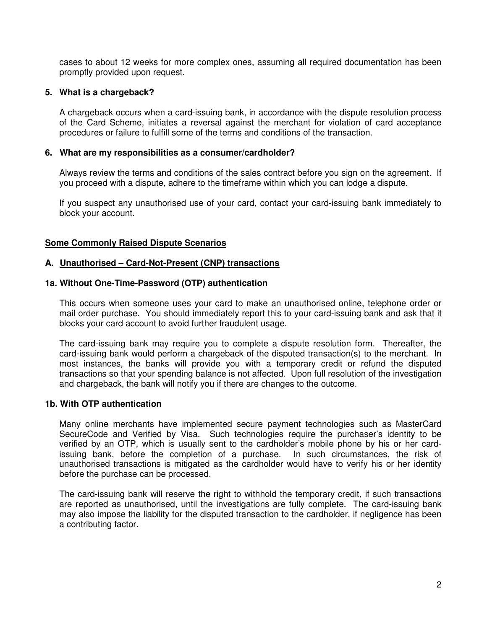cases to about 12 weeks for more complex ones, assuming all required documentation has been promptly provided upon request.

#### **5. What is a chargeback?**

A chargeback occurs when a card-issuing bank, in accordance with the dispute resolution process of the Card Scheme, initiates a reversal against the merchant for violation of card acceptance procedures or failure to fulfill some of the terms and conditions of the transaction.

#### **6. What are my responsibilities as a consumer/cardholder?**

Always review the terms and conditions of the sales contract before you sign on the agreement. If you proceed with a dispute, adhere to the timeframe within which you can lodge a dispute.

If you suspect any unauthorised use of your card, contact your card-issuing bank immediately to block your account.

# **Some Commonly Raised Dispute Scenarios**

#### **A. Unauthorised – Card-Not-Present (CNP) transactions**

#### **1a. Without One-Time-Password (OTP) authentication**

This occurs when someone uses your card to make an unauthorised online, telephone order or mail order purchase. You should immediately report this to your card-issuing bank and ask that it blocks your card account to avoid further fraudulent usage.

The card-issuing bank may require you to complete a dispute resolution form. Thereafter, the card-issuing bank would perform a chargeback of the disputed transaction(s) to the merchant. In most instances, the banks will provide you with a temporary credit or refund the disputed transactions so that your spending balance is not affected. Upon full resolution of the investigation and chargeback, the bank will notify you if there are changes to the outcome.

#### **1b. With OTP authentication**

Many online merchants have implemented secure payment technologies such as MasterCard SecureCode and Verified by Visa. Such technologies require the purchaser's identity to be verified by an OTP, which is usually sent to the cardholder's mobile phone by his or her cardissuing bank, before the completion of a purchase. In such circumstances, the risk of unauthorised transactions is mitigated as the cardholder would have to verify his or her identity before the purchase can be processed.

The card-issuing bank will reserve the right to withhold the temporary credit, if such transactions are reported as unauthorised, until the investigations are fully complete. The card-issuing bank may also impose the liability for the disputed transaction to the cardholder, if negligence has been a contributing factor.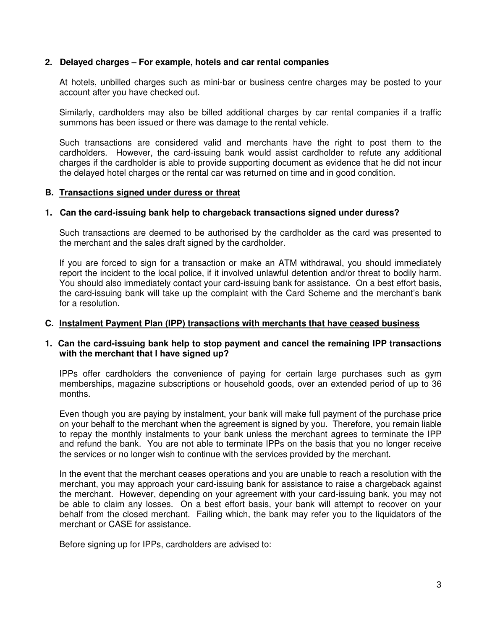# **2. Delayed charges – For example, hotels and car rental companies**

At hotels, unbilled charges such as mini-bar or business centre charges may be posted to your account after you have checked out.

Similarly, cardholders may also be billed additional charges by car rental companies if a traffic summons has been issued or there was damage to the rental vehicle.

Such transactions are considered valid and merchants have the right to post them to the cardholders. However, the card-issuing bank would assist cardholder to refute any additional charges if the cardholder is able to provide supporting document as evidence that he did not incur the delayed hotel charges or the rental car was returned on time and in good condition.

# **B. Transactions signed under duress or threat**

# **1. Can the card-issuing bank help to chargeback transactions signed under duress?**

Such transactions are deemed to be authorised by the cardholder as the card was presented to the merchant and the sales draft signed by the cardholder.

If you are forced to sign for a transaction or make an ATM withdrawal, you should immediately report the incident to the local police, if it involved unlawful detention and/or threat to bodily harm. You should also immediately contact your card-issuing bank for assistance. On a best effort basis, the card-issuing bank will take up the complaint with the Card Scheme and the merchant's bank for a resolution.

#### **C. Instalment Payment Plan (IPP) transactions with merchants that have ceased business**

# **1. Can the card-issuing bank help to stop payment and cancel the remaining IPP transactions with the merchant that I have signed up?**

IPPs offer cardholders the convenience of paying for certain large purchases such as gym memberships, magazine subscriptions or household goods, over an extended period of up to 36 months.

Even though you are paying by instalment, your bank will make full payment of the purchase price on your behalf to the merchant when the agreement is signed by you. Therefore, you remain liable to repay the monthly instalments to your bank unless the merchant agrees to terminate the IPP and refund the bank. You are not able to terminate IPPs on the basis that you no longer receive the services or no longer wish to continue with the services provided by the merchant.

In the event that the merchant ceases operations and you are unable to reach a resolution with the merchant, you may approach your card-issuing bank for assistance to raise a chargeback against the merchant. However, depending on your agreement with your card-issuing bank, you may not be able to claim any losses. On a best effort basis, your bank will attempt to recover on your behalf from the closed merchant. Failing which, the bank may refer you to the liquidators of the merchant or CASE for assistance.

Before signing up for IPPs, cardholders are advised to: